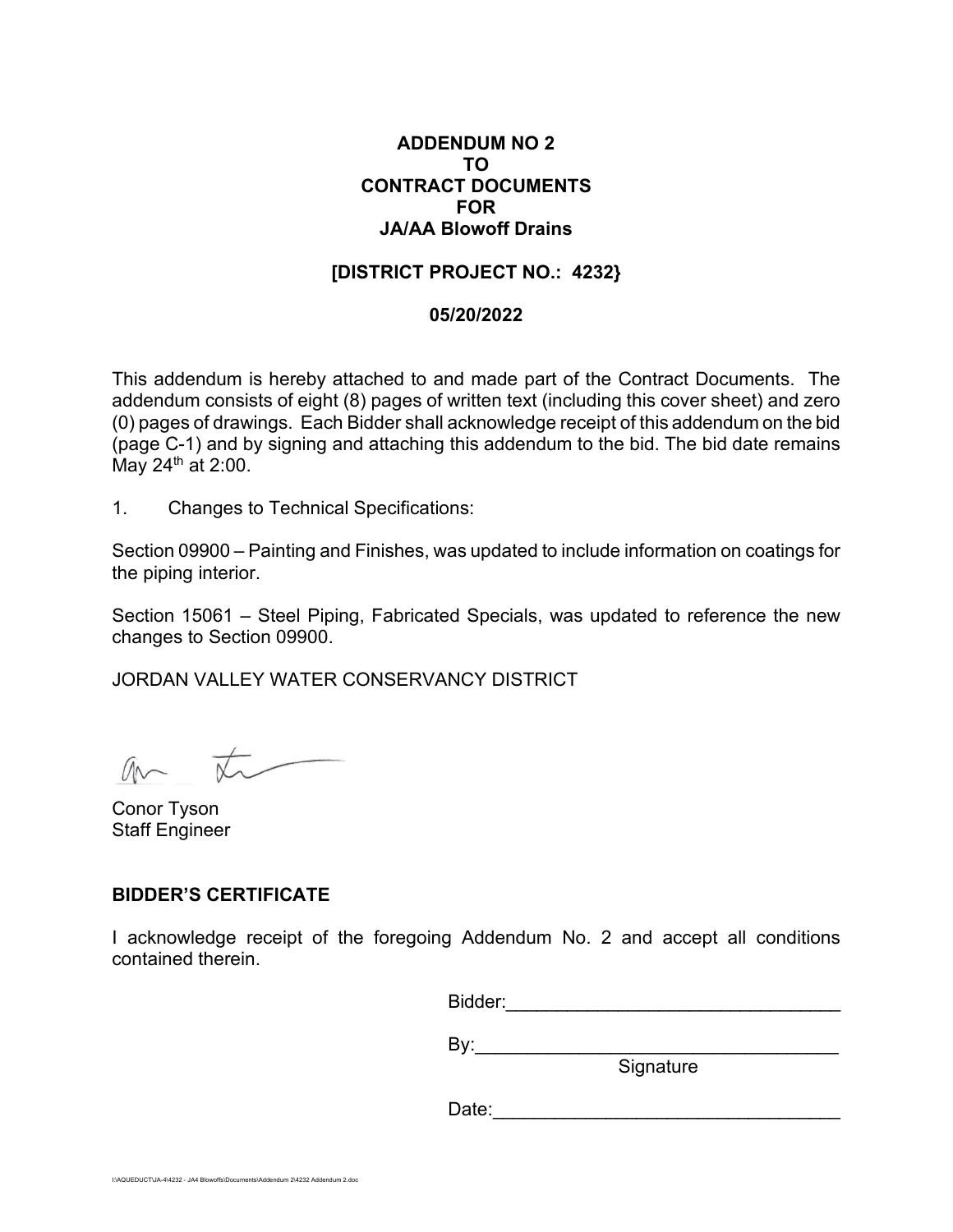## **ADDENDUM NO 2 TO CONTRACT DOCUMENTS FOR JA/AA Blowoff Drains**

## **[DISTRICT PROJECT NO.: 4232}**

#### **05/20/2022**

This addendum is hereby attached to and made part of the Contract Documents. The addendum consists of eight (8) pages of written text (including this cover sheet) and zero (0) pages of drawings. Each Bidder shall acknowledge receipt of this addendum on the bid (page C-1) and by signing and attaching this addendum to the bid. The bid date remains May  $24<sup>th</sup>$  at 2:00.

1. Changes to Technical Specifications:

Section 09900 – Painting and Finishes, was updated to include information on coatings for the piping interior.

Section 15061 – Steel Piping, Fabricated Specials, was updated to reference the new changes to Section 09900.

JORDAN VALLEY WATER CONSERVANCY DISTRICT

an  $\overline{\star}$ 

Conor Tyson Staff Engineer

## **BIDDER'S CERTIFICATE**

I acknowledge receipt of the foregoing Addendum No. 2 and accept all conditions contained therein.

Bidder:\_\_\_\_\_\_\_\_\_\_\_\_\_\_\_\_\_\_\_\_\_\_\_\_\_\_\_\_\_\_\_\_\_

By:\_\_\_\_\_\_\_\_\_\_\_\_\_\_\_\_\_\_\_\_\_\_\_\_\_\_\_\_\_\_\_\_\_\_\_

e de la construcción de la construcción de la construcción de la construcción de la construcción de la constru

Date:\_\_\_\_\_\_\_\_\_\_\_\_\_\_\_\_\_\_\_\_\_\_\_\_\_\_\_\_\_\_\_\_\_\_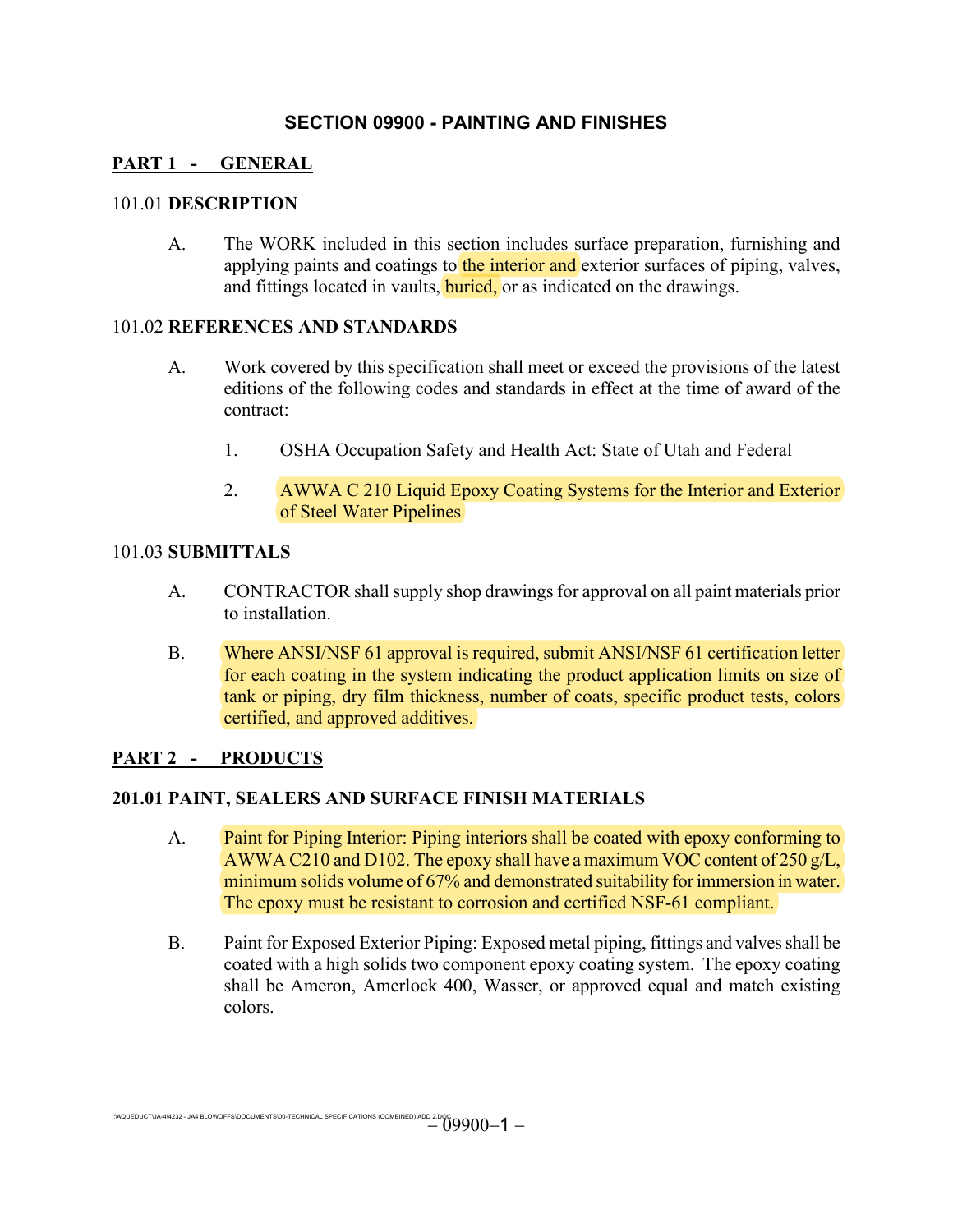# **SECTION 09900 - PAINTING AND FINISHES**

# **PART 1 - GENERAL**

### 101.01 **DESCRIPTION**

A. The WORK included in this section includes surface preparation, furnishing and applying paints and coatings to the interior and exterior surfaces of piping, valves, and fittings located in vaults, **buried**, or as indicated on the drawings.

#### 101.02 **REFERENCES AND STANDARDS**

- A. Work covered by this specification shall meet or exceed the provisions of the latest editions of the following codes and standards in effect at the time of award of the contract:
	- 1. OSHA Occupation Safety and Health Act: State of Utah and Federal
	- 2. AWWA C 210 Liquid Epoxy Coating Systems for the Interior and Exterior of Steel Water Pipelines

## 101.03 **SUBMITTALS**

- A. CONTRACTOR shall supply shop drawings for approval on all paint materials prior to installation.
- B. Where ANSI/NSF 61 approval is required, submit ANSI/NSF 61 certification letter for each coating in the system indicating the product application limits on size of tank or piping, dry film thickness, number of coats, specific product tests, colors certified, and approved additives.

## **PART 2 - PRODUCTS**

## **201.01 PAINT, SEALERS AND SURFACE FINISH MATERIALS**

- A. Paint for Piping Interior: Piping interiors shall be coated with epoxy conforming to AWWA C210 and D102. The epoxy shall have a maximum VOC content of 250 g/L, minimum solids volume of 67% and demonstrated suitability for immersion in water. The epoxy must be resistant to corrosion and certified NSF-61 compliant.
- B. Paint for Exposed Exterior Piping: Exposed metal piping, fittings and valves shall be coated with a high solids two component epoxy coating system. The epoxy coating shall be Ameron, Amerlock 400, Wasser, or approved equal and match existing colors.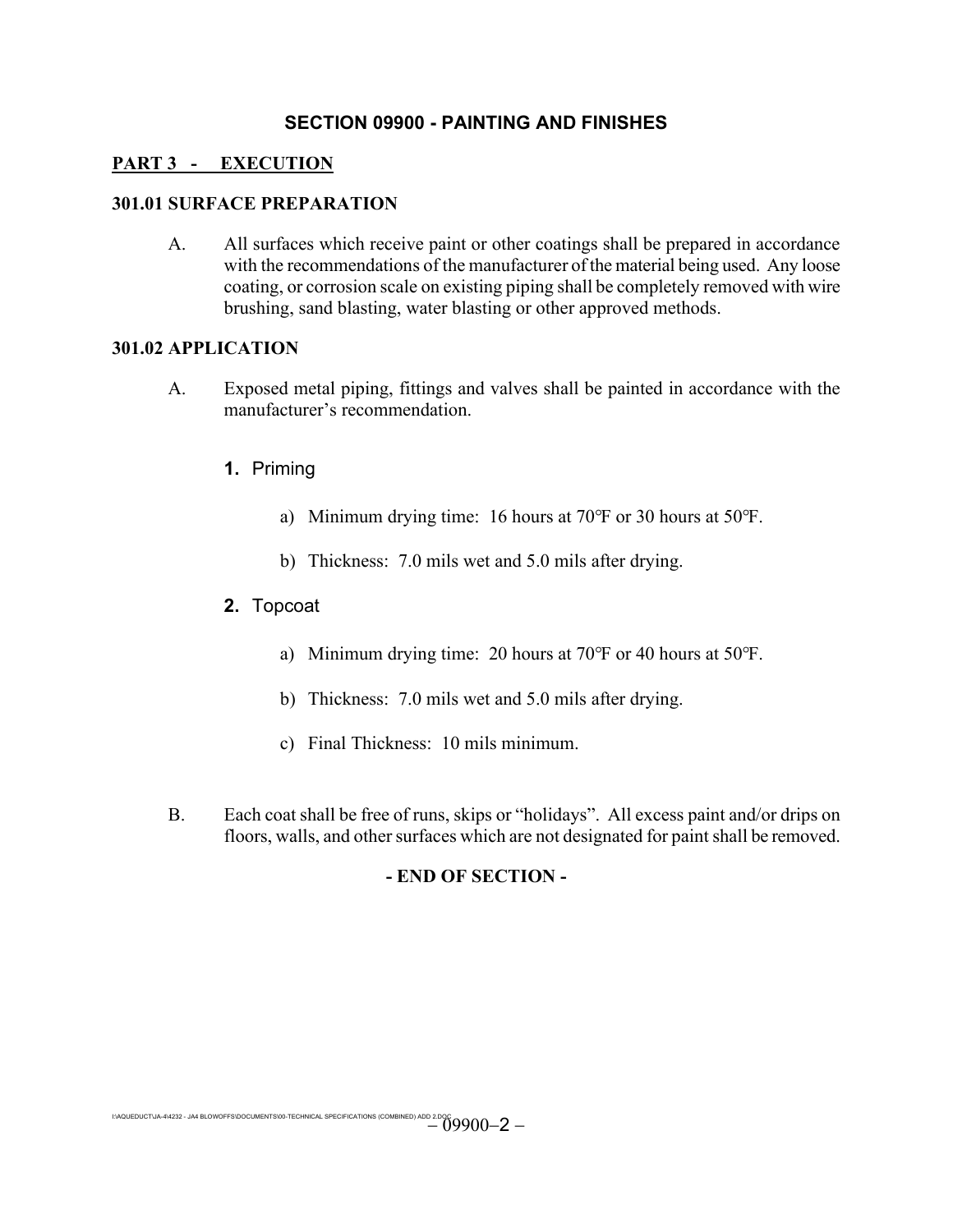# **SECTION 09900 - PAINTING AND FINISHES**

## **PART 3 - EXECUTION**

### **301.01 SURFACE PREPARATION**

A. All surfaces which receive paint or other coatings shall be prepared in accordance with the recommendations of the manufacturer of the material being used. Any loose coating, or corrosion scale on existing piping shall be completely removed with wire brushing, sand blasting, water blasting or other approved methods.

#### **301.02 APPLICATION**

- A. Exposed metal piping, fittings and valves shall be painted in accordance with the manufacturer's recommendation.
	- **1.** Priming
		- a) Minimum drying time: 16 hours at 70°F or 30 hours at 50°F.
		- b) Thickness: 7.0 mils wet and 5.0 mils after drying.

## **2.** Topcoat

- a) Minimum drying time: 20 hours at 70°F or 40 hours at 50°F.
- b) Thickness: 7.0 mils wet and 5.0 mils after drying.
- c) Final Thickness: 10 mils minimum.
- B. Each coat shall be free of runs, skips or "holidays". All excess paint and/or drips on floors, walls, and other surfaces which are not designated for paint shall be removed.

## **- END OF SECTION -**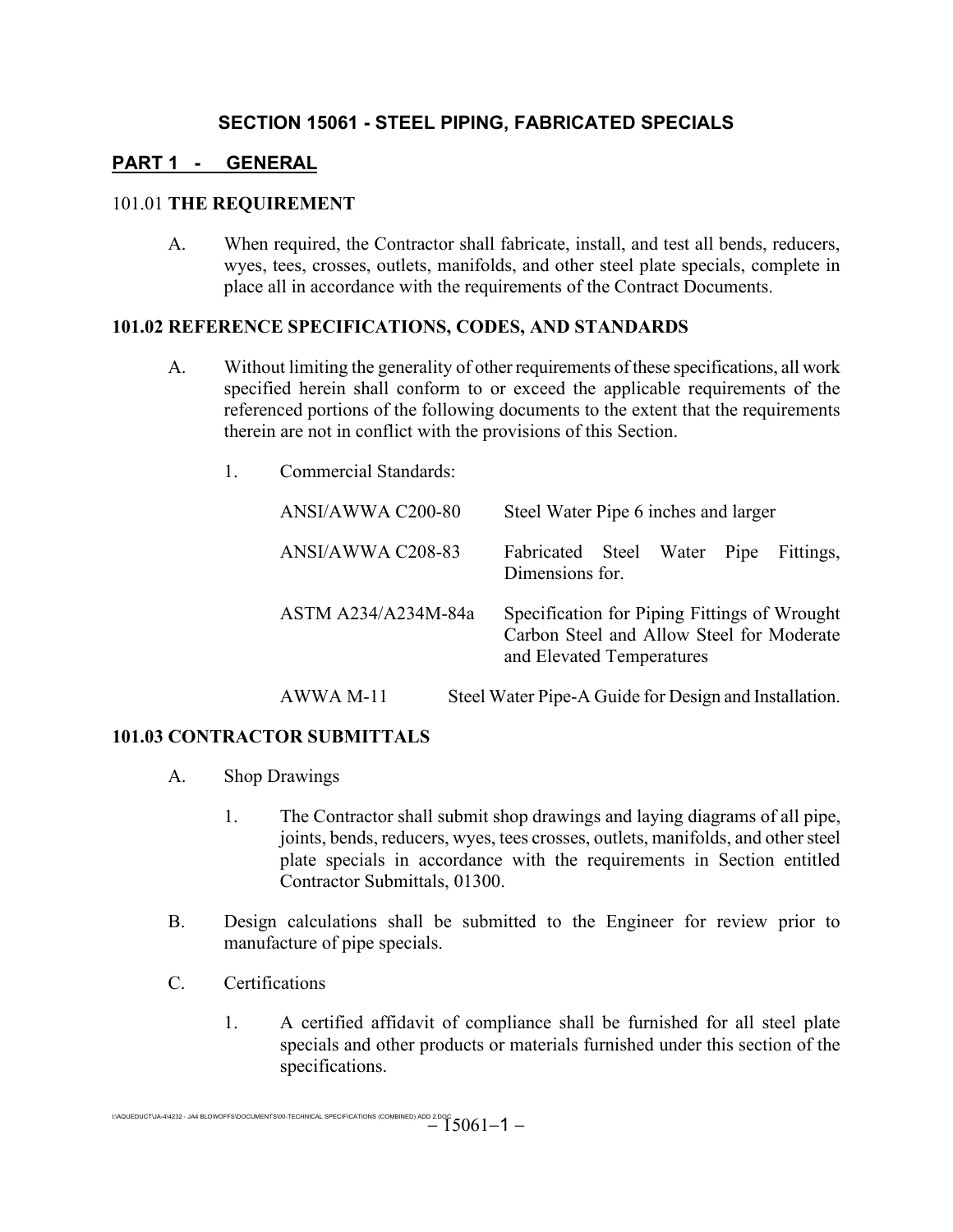# **PART 1 - GENERAL**

#### 101.01 **THE REQUIREMENT**

A. When required, the Contractor shall fabricate, install, and test all bends, reducers, wyes, tees, crosses, outlets, manifolds, and other steel plate specials, complete in place all in accordance with the requirements of the Contract Documents.

#### **101.02 REFERENCE SPECIFICATIONS, CODES, AND STANDARDS**

- A. Without limiting the generality of other requirements of these specifications, all work specified herein shall conform to or exceed the applicable requirements of the referenced portions of the following documents to the extent that the requirements therein are not in conflict with the provisions of this Section.
	- 1. Commercial Standards:

| ANSI/AWWA C200-80   | Steel Water Pipe 6 inches and larger                                                                                   |  |  |  |  |  |  |  |
|---------------------|------------------------------------------------------------------------------------------------------------------------|--|--|--|--|--|--|--|
| ANSI/AWWA C208-83   | Fabricated Steel Water Pipe<br>Fittings,<br>Dimensions for.                                                            |  |  |  |  |  |  |  |
| ASTM A234/A234M-84a | Specification for Piping Fittings of Wrought<br>Carbon Steel and Allow Steel for Moderate<br>and Elevated Temperatures |  |  |  |  |  |  |  |

## AWWA M-11 Steel Water Pipe-A Guide for Design and Installation.

## **101.03 CONTRACTOR SUBMITTALS**

- A. Shop Drawings
	- 1. The Contractor shall submit shop drawings and laying diagrams of all pipe, joints, bends, reducers, wyes, tees crosses, outlets, manifolds, and other steel plate specials in accordance with the requirements in Section entitled Contractor Submittals, 01300.
- B. Design calculations shall be submitted to the Engineer for review prior to manufacture of pipe specials.
- C. Certifications
	- 1. A certified affidavit of compliance shall be furnished for all steel plate specials and other products or materials furnished under this section of the specifications.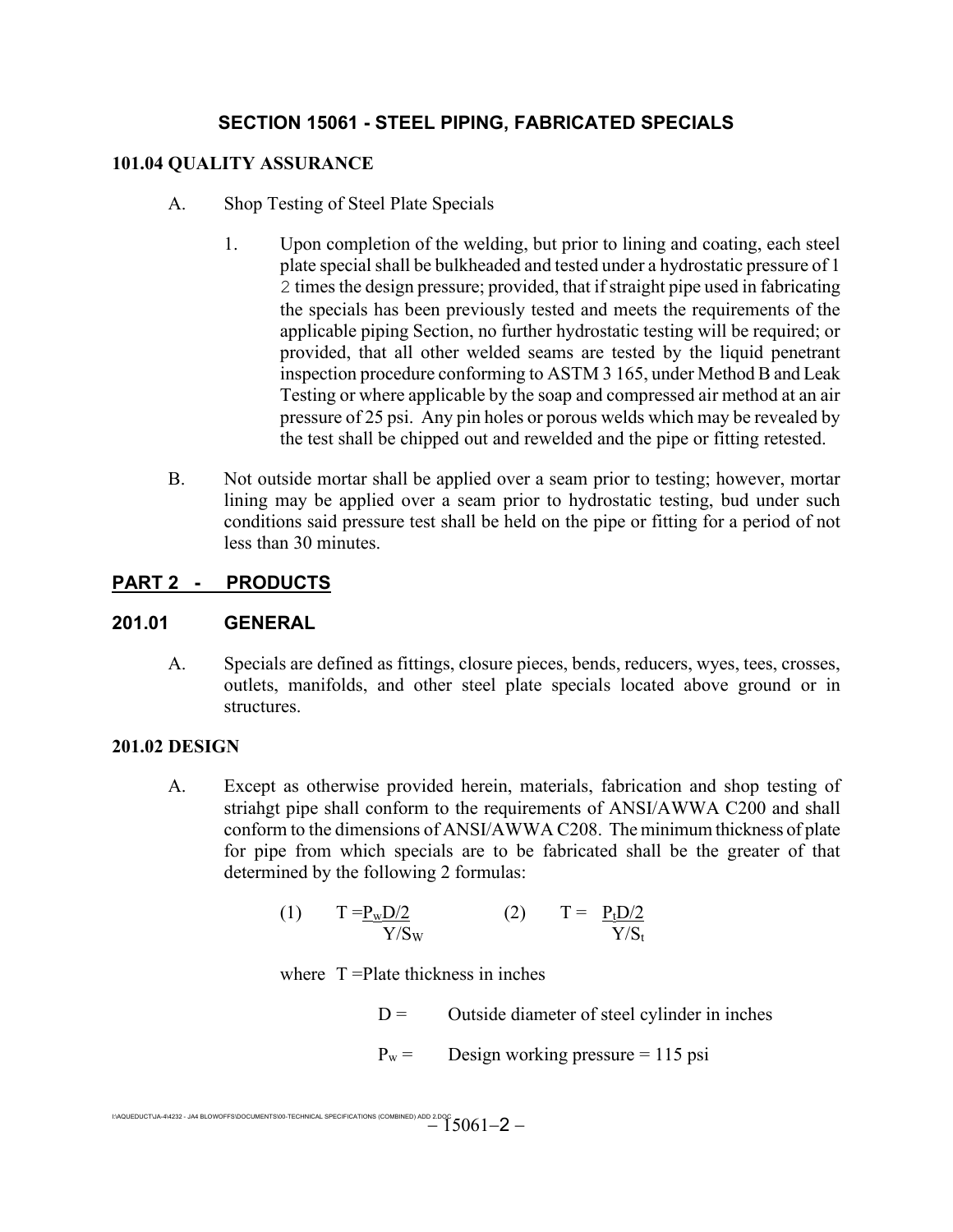#### **101.04 QUALITY ASSURANCE**

- A. Shop Testing of Steel Plate Specials
	- 1. Upon completion of the welding, but prior to lining and coating, each steel plate special shall be bulkheaded and tested under a hydrostatic pressure of 1 2 times the design pressure; provided, that if straight pipe used in fabricating the specials has been previously tested and meets the requirements of the applicable piping Section, no further hydrostatic testing will be required; or provided, that all other welded seams are tested by the liquid penetrant inspection procedure conforming to ASTM 3 165, under Method B and Leak Testing or where applicable by the soap and compressed air method at an air pressure of 25 psi. Any pin holes or porous welds which may be revealed by the test shall be chipped out and rewelded and the pipe or fitting retested.
- B. Not outside mortar shall be applied over a seam prior to testing; however, mortar lining may be applied over a seam prior to hydrostatic testing, bud under such conditions said pressure test shall be held on the pipe or fitting for a period of not less than 30 minutes.

## **PART 2 - PRODUCTS**

## **201.01 GENERAL**

A. Specials are defined as fittings, closure pieces, bends, reducers, wyes, tees, crosses, outlets, manifolds, and other steel plate specials located above ground or in structures.

#### **201.02 DESIGN**

A. Except as otherwise provided herein, materials, fabrication and shop testing of striahgt pipe shall conform to the requirements of ANSI/AWWA C200 and shall conform to the dimensions of ANSI/AWWA C208. The minimum thickness of plate for pipe from which specials are to be fabricated shall be the greater of that determined by the following 2 formulas:

$$
(1) \tT = \frac{P_w D/2}{Y/S_w} \t(2) \tT = \frac{P_t D/2}{Y/S_t}
$$

where T = Plate thickness in inches

 $D =$  Outside diameter of steel cylinder in inches

 $P_w =$  Design working pressure = 115 psi

I:\AQUEDUCT\JA-4\4232 - JA4 BLOWOFFS\DOCUMENTS\00-TECHNICAL SPECIFICATIONS (COMBINED) ADD 2.DOC  $-15061-2-$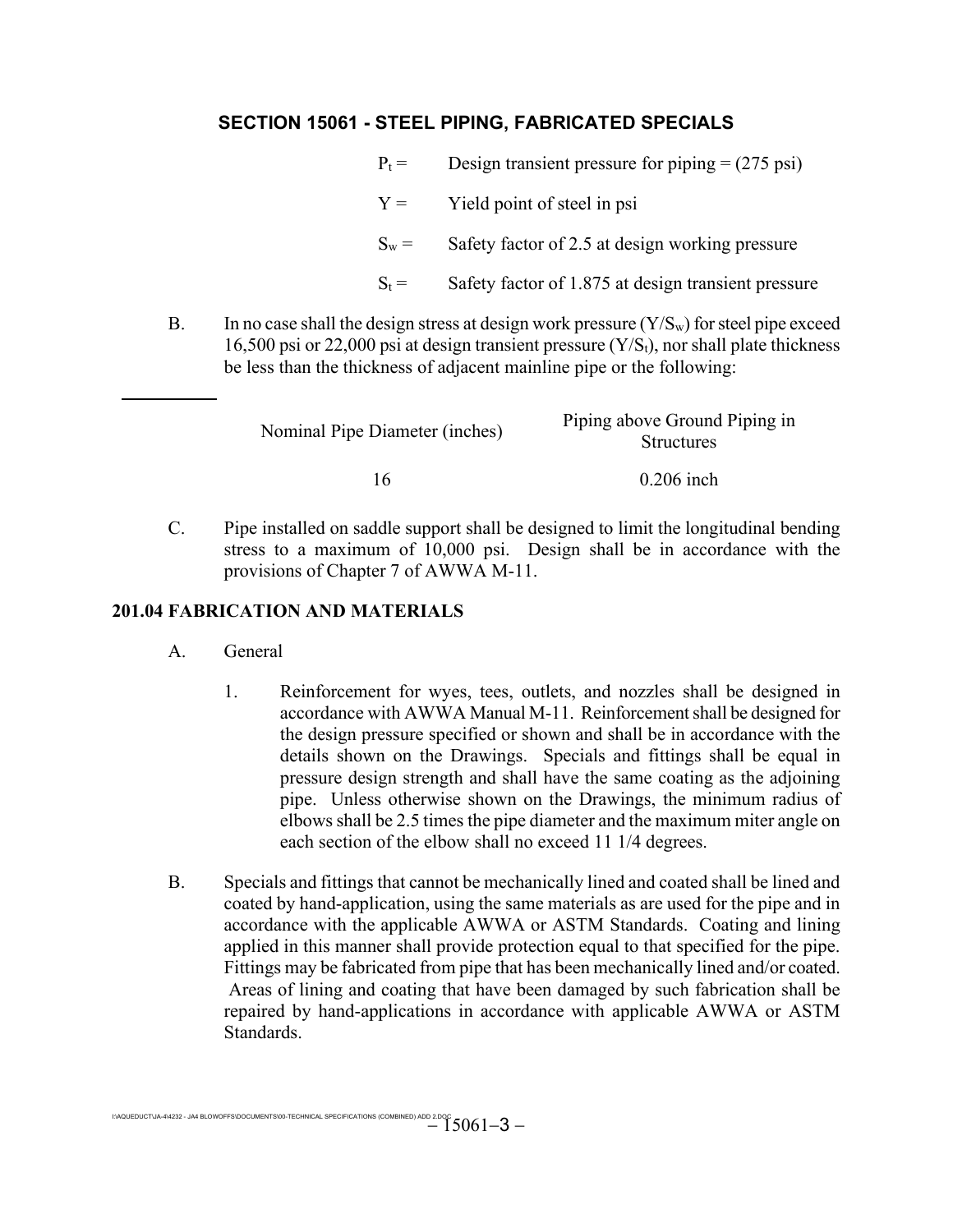| $P_t =$ | Design transient pressure for piping $= (275 \text{ psi})$ |
|---------|------------------------------------------------------------|
| $Y =$   | Yield point of steel in psi                                |
| $S_w =$ | Safety factor of 2.5 at design working pressure            |
| $S_t =$ | Safety factor of 1.875 at design transient pressure        |

B. In no case shall the design stress at design work pressure  $(Y/S_w)$  for steel pipe exceed 16,500 psi or 22,000 psi at design transient pressure  $(Y/S_t)$ , nor shall plate thickness be less than the thickness of adjacent mainline pipe or the following:

|        | Nominal Pipe Diameter (inches)                                                                                                                                                                                                                                                                                                     |         |  | Piping above Ground Piping in<br><b>Structures</b> |  |              |  |  |               |
|--------|------------------------------------------------------------------------------------------------------------------------------------------------------------------------------------------------------------------------------------------------------------------------------------------------------------------------------------|---------|--|----------------------------------------------------|--|--------------|--|--|---------------|
|        |                                                                                                                                                                                                                                                                                                                                    | 16      |  |                                                    |  | $0.206$ inch |  |  |               |
| $\sim$ | $\mathbf{r}$ $\mathbf{r}$ $\mathbf{r}$ $\mathbf{r}$ $\mathbf{r}$ $\mathbf{r}$ $\mathbf{r}$ $\mathbf{r}$ $\mathbf{r}$ $\mathbf{r}$ $\mathbf{r}$ $\mathbf{r}$ $\mathbf{r}$ $\mathbf{r}$ $\mathbf{r}$ $\mathbf{r}$ $\mathbf{r}$ $\mathbf{r}$ $\mathbf{r}$ $\mathbf{r}$ $\mathbf{r}$ $\mathbf{r}$ $\mathbf{r}$ $\mathbf{r}$ $\mathbf{$ | 1 1 1 1 |  |                                                    |  |              |  |  | $\rightarrow$ |

C. Pipe installed on saddle support shall be designed to limit the longitudinal bending stress to a maximum of 10,000 psi. Design shall be in accordance with the provisions of Chapter 7 of AWWA M-11.

## **201.04 FABRICATION AND MATERIALS**

- A. General
	- 1. Reinforcement for wyes, tees, outlets, and nozzles shall be designed in accordance with AWWA Manual M-11. Reinforcement shall be designed for the design pressure specified or shown and shall be in accordance with the details shown on the Drawings. Specials and fittings shall be equal in pressure design strength and shall have the same coating as the adjoining pipe. Unless otherwise shown on the Drawings, the minimum radius of elbows shall be 2.5 times the pipe diameter and the maximum miter angle on each section of the elbow shall no exceed 11 1/4 degrees.
- B. Specials and fittings that cannot be mechanically lined and coated shall be lined and coated by hand-application, using the same materials as are used for the pipe and in accordance with the applicable AWWA or ASTM Standards. Coating and lining applied in this manner shall provide protection equal to that specified for the pipe. Fittings may be fabricated from pipe that has been mechanically lined and/or coated. Areas of lining and coating that have been damaged by such fabrication shall be repaired by hand-applications in accordance with applicable AWWA or ASTM Standards.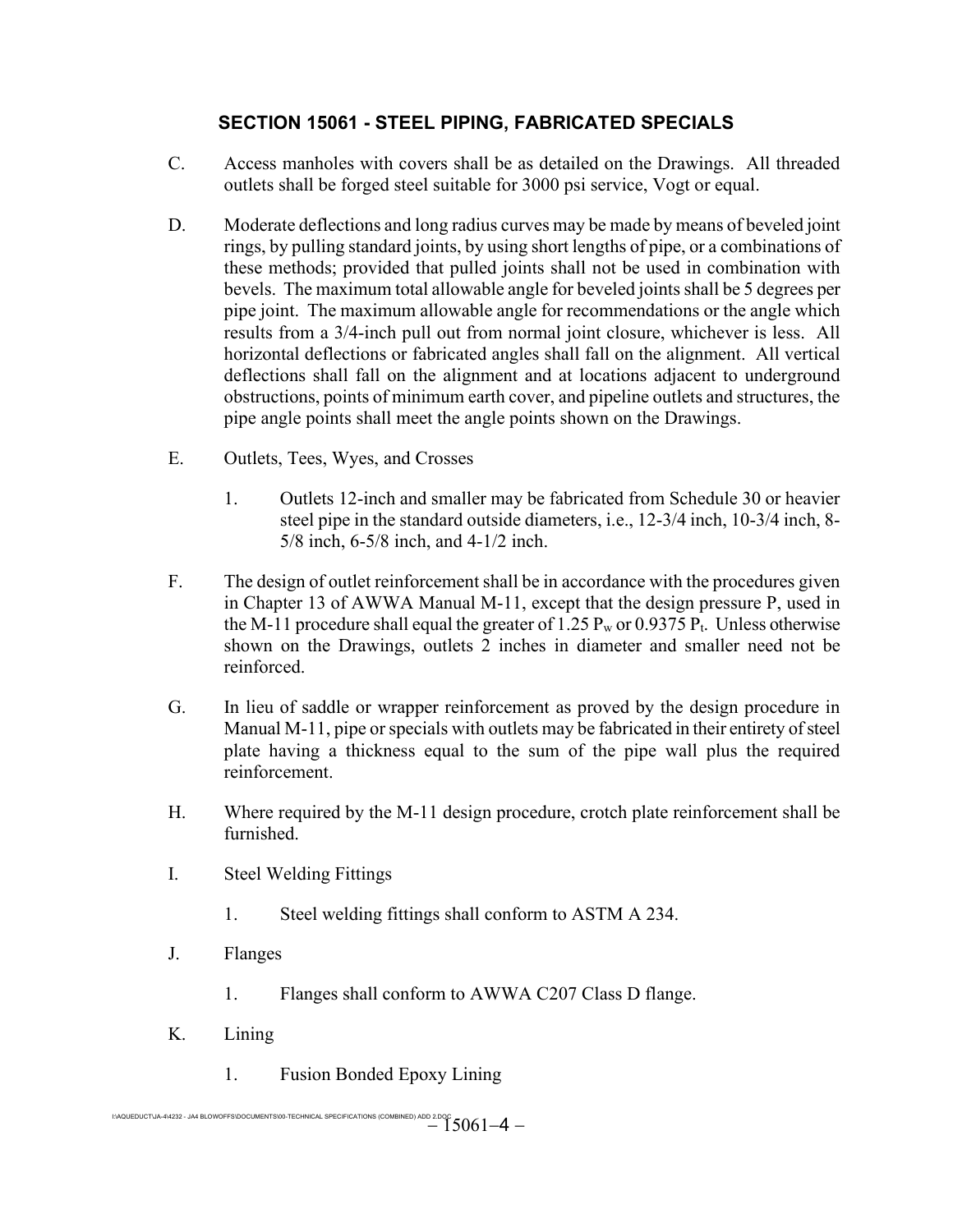- C. Access manholes with covers shall be as detailed on the Drawings. All threaded outlets shall be forged steel suitable for 3000 psi service, Vogt or equal.
- D. Moderate deflections and long radius curves may be made by means of beveled joint rings, by pulling standard joints, by using short lengths of pipe, or a combinations of these methods; provided that pulled joints shall not be used in combination with bevels. The maximum total allowable angle for beveled joints shall be 5 degrees per pipe joint. The maximum allowable angle for recommendations or the angle which results from a 3/4-inch pull out from normal joint closure, whichever is less. All horizontal deflections or fabricated angles shall fall on the alignment. All vertical deflections shall fall on the alignment and at locations adjacent to underground obstructions, points of minimum earth cover, and pipeline outlets and structures, the pipe angle points shall meet the angle points shown on the Drawings.
- E. Outlets, Tees, Wyes, and Crosses
	- 1. Outlets 12-inch and smaller may be fabricated from Schedule 30 or heavier steel pipe in the standard outside diameters, i.e., 12-3/4 inch, 10-3/4 inch, 8- 5/8 inch, 6-5/8 inch, and 4-1/2 inch.
- F. The design of outlet reinforcement shall be in accordance with the procedures given in Chapter 13 of AWWA Manual M-11, except that the design pressure P, used in the M-11 procedure shall equal the greater of 1.25  $P_w$  or 0.9375  $P_t$ . Unless otherwise shown on the Drawings, outlets 2 inches in diameter and smaller need not be reinforced.
- G. In lieu of saddle or wrapper reinforcement as proved by the design procedure in Manual M-11, pipe or specials with outlets may be fabricated in their entirety of steel plate having a thickness equal to the sum of the pipe wall plus the required reinforcement.
- H. Where required by the M-11 design procedure, crotch plate reinforcement shall be furnished.
- I. Steel Welding Fittings
	- 1. Steel welding fittings shall conform to ASTM A 234.
- J. Flanges
	- 1. Flanges shall conform to AWWA C207 Class D flange.
- K. Lining
	- 1. Fusion Bonded Epoxy Lining